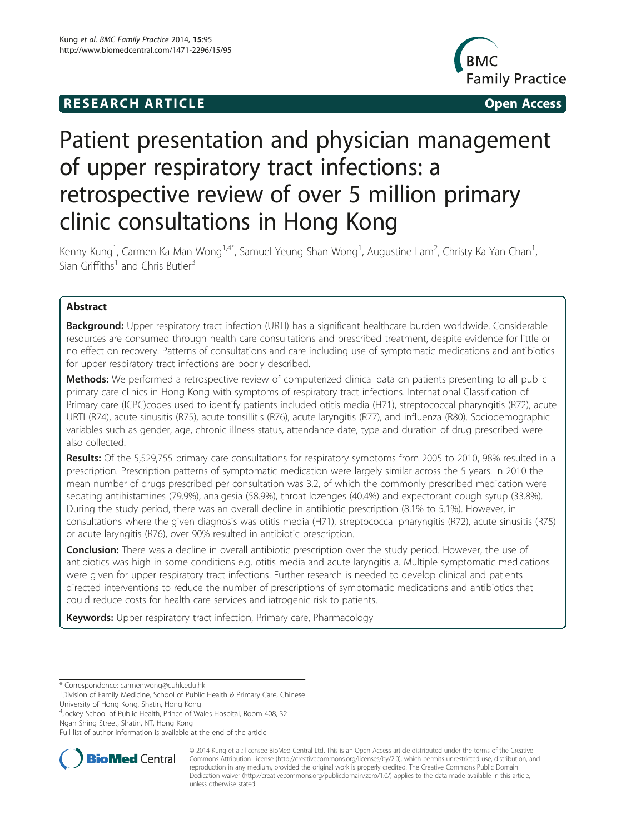# **RESEARCH ARTICLE Example 2014 CONSIDERING CONSIDERING CONSIDERING CONSIDERING CONSIDERING CONSIDERING CONSIDERING CONSIDERING CONSIDERING CONSIDERING CONSIDERING CONSIDERING CONSIDERING CONSIDERING CONSIDERING CONSIDE**



# Patient presentation and physician management of upper respiratory tract infections: a retrospective review of over 5 million primary clinic consultations in Hong Kong

Kenny Kung<sup>1</sup>, Carmen Ka Man Wong<sup>1,4\*</sup>, Samuel Yeung Shan Wong<sup>1</sup>, Augustine Lam<sup>2</sup>, Christy Ka Yan Chan<sup>1</sup> , Sian Griffiths<sup>1</sup> and Chris Butler<sup>3</sup>

# Abstract

Background: Upper respiratory tract infection (URTI) has a significant healthcare burden worldwide. Considerable resources are consumed through health care consultations and prescribed treatment, despite evidence for little or no effect on recovery. Patterns of consultations and care including use of symptomatic medications and antibiotics for upper respiratory tract infections are poorly described.

Methods: We performed a retrospective review of computerized clinical data on patients presenting to all public primary care clinics in Hong Kong with symptoms of respiratory tract infections. International Classification of Primary care (ICPC)codes used to identify patients included otitis media (H71), streptococcal pharyngitis (R72), acute URTI (R74), acute sinusitis (R75), acute tonsillitis (R76), acute laryngitis (R77), and influenza (R80). Sociodemographic variables such as gender, age, chronic illness status, attendance date, type and duration of drug prescribed were also collected.

Results: Of the 5,529,755 primary care consultations for respiratory symptoms from 2005 to 2010, 98% resulted in a prescription. Prescription patterns of symptomatic medication were largely similar across the 5 years. In 2010 the mean number of drugs prescribed per consultation was 3.2, of which the commonly prescribed medication were sedating antihistamines (79.9%), analgesia (58.9%), throat lozenges (40.4%) and expectorant cough syrup (33.8%). During the study period, there was an overall decline in antibiotic prescription (8.1% to 5.1%). However, in consultations where the given diagnosis was otitis media (H71), streptococcal pharyngitis (R72), acute sinusitis (R75) or acute laryngitis (R76), over 90% resulted in antibiotic prescription.

Conclusion: There was a decline in overall antibiotic prescription over the study period. However, the use of antibiotics was high in some conditions e.g. otitis media and acute laryngitis a. Multiple symptomatic medications were given for upper respiratory tract infections. Further research is needed to develop clinical and patients directed interventions to reduce the number of prescriptions of symptomatic medications and antibiotics that could reduce costs for health care services and iatrogenic risk to patients.

**Keywords:** Upper respiratory tract infection, Primary care, Pharmacology

<sup>1</sup> Division of Family Medicine, School of Public Health & Primary Care, Chinese University of Hong Kong, Shatin, Hong Kong

4 Jockey School of Public Health, Prince of Wales Hospital, Room 408, 32 Ngan Shing Street, Shatin, NT, Hong Kong

Full list of author information is available at the end of the article



© 2014 Kung et al.; licensee BioMed Central Ltd. This is an Open Access article distributed under the terms of the Creative Commons Attribution License [\(http://creativecommons.org/licenses/by/2.0\)](http://creativecommons.org/licenses/by/2.0), which permits unrestricted use, distribution, and reproduction in any medium, provided the original work is properly credited. The Creative Commons Public Domain Dedication waiver [\(http://creativecommons.org/publicdomain/zero/1.0/](http://creativecommons.org/publicdomain/zero/1.0/)) applies to the data made available in this article, unless otherwise stated.

<sup>\*</sup> Correspondence: [carmenwong@cuhk.edu.hk](mailto:carmenwong@cuhk.edu.hk) <sup>1</sup>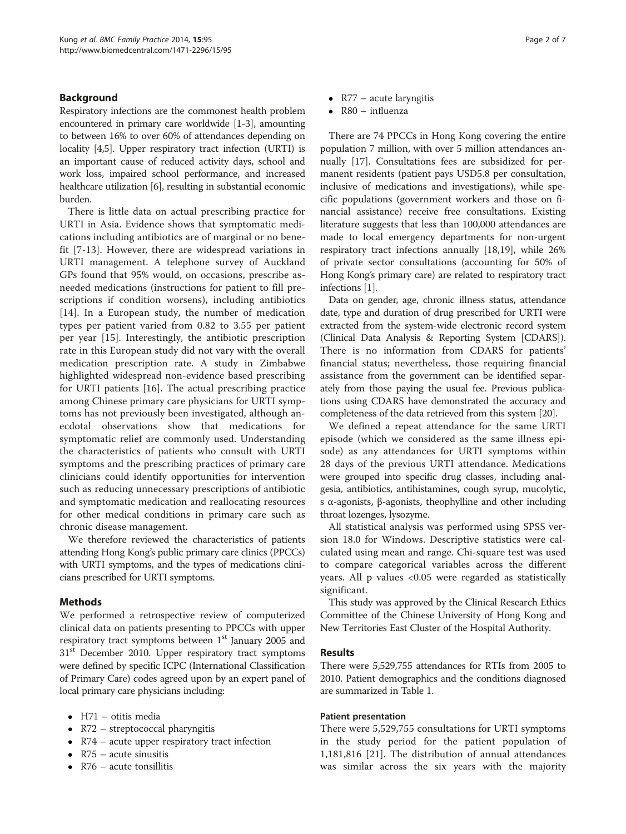# Background

Respiratory infections are the commonest health problem encountered in primary care worldwide [\[1-3](#page-5-0)], amounting to between 16% to over 60% of attendances depending on locality [\[4,5](#page-5-0)]. Upper respiratory tract infection (URTI) is an important cause of reduced activity days, school and work loss, impaired school performance, and increased healthcare utilization [\[6](#page-5-0)], resulting in substantial economic burden.

There is little data on actual prescribing practice for URTI in Asia. Evidence shows that symptomatic medications including antibiotics are of marginal or no benefit [[7](#page-5-0)-[13\]](#page-5-0). However, there are widespread variations in URTI management. A telephone survey of Auckland GPs found that 95% would, on occasions, prescribe asneeded medications (instructions for patient to fill prescriptions if condition worsens), including antibiotics [[14\]](#page-5-0). In a European study, the number of medication types per patient varied from 0.82 to 3.55 per patient per year [[15\]](#page-5-0). Interestingly, the antibiotic prescription rate in this European study did not vary with the overall medication prescription rate. A study in Zimbabwe highlighted widespread non-evidence based prescribing for URTI patients [\[16](#page-6-0)]. The actual prescribing practice among Chinese primary care physicians for URTI symptoms has not previously been investigated, although anecdotal observations show that medications for symptomatic relief are commonly used. Understanding the characteristics of patients who consult with URTI symptoms and the prescribing practices of primary care clinicians could identify opportunities for intervention such as reducing unnecessary prescriptions of antibiotic and symptomatic medication and reallocating resources for other medical conditions in primary care such as chronic disease management.

We therefore reviewed the characteristics of patients attending Hong Kong's public primary care clinics (PPCCs) with URTI symptoms, and the types of medications clinicians prescribed for URTI symptoms.

# Methods

We performed a retrospective review of computerized clinical data on patients presenting to PPCCs with upper respiratory tract symptoms between  $1<sup>st</sup>$  January 2005 and  $31<sup>st</sup>$  December 2010. Upper respiratory tract symptoms were defined by specific ICPC (International Classification of Primary Care) codes agreed upon by an expert panel of local primary care physicians including:

- H71 otitis media
- R72 streptococcal pharyngitis
- R74 acute upper respiratory tract infection
- $R75$  acute sinusitis
- $R76$  acute tonsillitis
- $R77$  acute laryngitis
- R80 influenza

There are 74 PPCCs in Hong Kong covering the entire population 7 million, with over 5 million attendances annually [[17](#page-6-0)]. Consultations fees are subsidized for permanent residents (patient pays USD5.8 per consultation, inclusive of medications and investigations), while specific populations (government workers and those on financial assistance) receive free consultations. Existing literature suggests that less than 100,000 attendances are made to local emergency departments for non-urgent respiratory tract infections annually [[18,19\]](#page-6-0), while 26% of private sector consultations (accounting for 50% of Hong Kong's primary care) are related to respiratory tract infections [\[1](#page-5-0)].

Data on gender, age, chronic illness status, attendance date, type and duration of drug prescribed for URTI were extracted from the system-wide electronic record system (Clinical Data Analysis & Reporting System [CDARS]). There is no information from CDARS for patients' financial status; nevertheless, those requiring financial assistance from the government can be identified separately from those paying the usual fee. Previous publications using CDARS have demonstrated the accuracy and completeness of the data retrieved from this system [\[20](#page-6-0)].

We defined a repeat attendance for the same URTI episode (which we considered as the same illness episode) as any attendances for URTI symptoms within 28 days of the previous URTI attendance. Medications were grouped into specific drug classes, including analgesia, antibiotics, antihistamines, cough syrup, mucolytic, s α-agonists, β-agonists, theophylline and other including throat lozenges, lysozyme.

All statistical analysis was performed using SPSS version 18.0 for Windows. Descriptive statistics were calculated using mean and range. Chi-square test was used to compare categorical variables across the different years. All p values <0.05 were regarded as statistically significant.

This study was approved by the Clinical Research Ethics Committee of the Chinese University of Hong Kong and New Territories East Cluster of the Hospital Authority.

# Results

There were 5,529,755 attendances for RTIs from 2005 to 2010. Patient demographics and the conditions diagnosed are summarized in Table [1.](#page-2-0)

### Patient presentation

There were 5,529,755 consultations for URTI symptoms in the study period for the patient population of 1,181,816 [[21\]](#page-6-0). The distribution of annual attendances was similar across the six years with the majority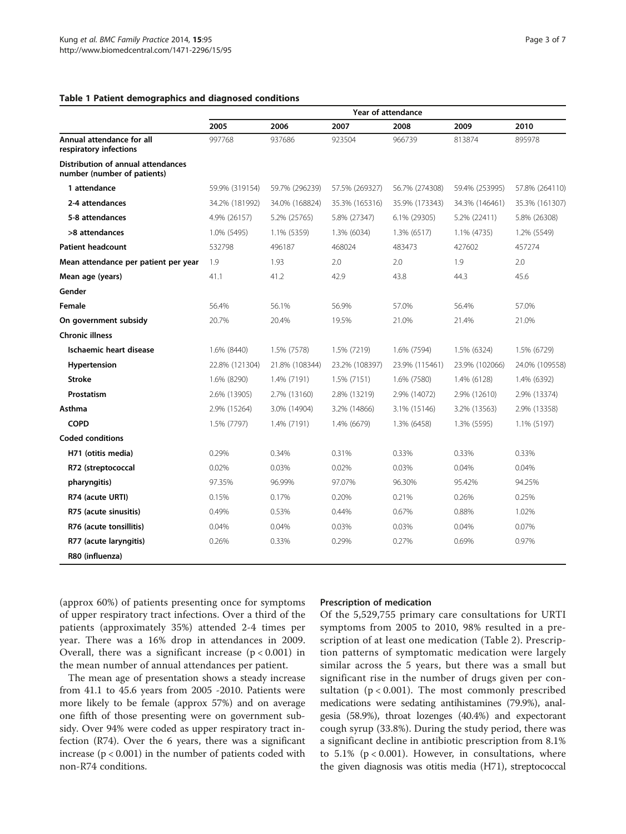#### <span id="page-2-0"></span>Table 1 Patient demographics and diagnosed conditions

|                                                                   | <b>Year of attendance</b> |                |                |                |                |                |  |  |
|-------------------------------------------------------------------|---------------------------|----------------|----------------|----------------|----------------|----------------|--|--|
|                                                                   | 2005                      | 2006           | 2007           | 2008           | 2009           | 2010           |  |  |
| Annual attendance for all<br>respiratory infections               | 997768                    | 937686         | 923504         | 966739         | 813874         | 895978         |  |  |
| Distribution of annual attendances<br>number (number of patients) |                           |                |                |                |                |                |  |  |
| 1 attendance                                                      | 59.9% (319154)            | 59.7% (296239) | 57.5% (269327) | 56.7% (274308) | 59.4% (253995) | 57.8% (264110) |  |  |
| 2-4 attendances                                                   | 34.2% (181992)            | 34.0% (168824) | 35.3% (165316) | 35.9% (173343) | 34.3% (146461) | 35.3% (161307) |  |  |
| 5-8 attendances                                                   | 4.9% (26157)              | 5.2% (25765)   | 5.8% (27347)   | 6.1% (29305)   | 5.2% (22411)   | 5.8% (26308)   |  |  |
| >8 attendances                                                    | 1.0% (5495)               | 1.1% (5359)    | 1.3% (6034)    | $1.3\%$ (6517) | 1.1% (4735)    | 1.2% (5549)    |  |  |
| <b>Patient headcount</b>                                          | 532798                    | 496187         | 468024         | 483473         | 427602         | 457274         |  |  |
| Mean attendance per patient per year                              | 1.9                       | 1.93           | 2.0            | 2.0            |                | 2.0            |  |  |
| Mean age (years)                                                  | 41.1                      | 41.2           | 42.9           | 43.8           | 44.3           | 45.6           |  |  |
| Gender                                                            |                           |                |                |                |                |                |  |  |
| Female                                                            | 56.4%                     | 56.1%          | 56.9%          | 57.0%          | 56.4%          | 57.0%          |  |  |
| On government subsidy                                             | 20.7%                     | 20.4%          | 19.5%          | 21.0%          | 21.4%          | 21.0%          |  |  |
| <b>Chronic illness</b>                                            |                           |                |                |                |                |                |  |  |
| Ischaemic heart disease                                           | 1.6% (8440)               | 1.5% (7578)    | 1.5% (7219)    | 1.6% (7594)    | 1.5% (6324)    | 1.5% (6729)    |  |  |
| Hypertension                                                      | 22.8% (121304)            | 21.8% (108344) | 23.2% (108397) | 23.9% (115461) | 23.9% (102066) | 24.0% (109558) |  |  |
| <b>Stroke</b>                                                     | 1.6% (8290)               | 1.4% (7191)    | 1.5% (7151)    | 1.6% (7580)    | 1.4% (6128)    | 1.4% (6392)    |  |  |
| Prostatism                                                        | 2.6% (13905)              | 2.7% (13160)   | 2.8% (13219)   | 2.9% (14072)   | 2.9% (12610)   | 2.9% (13374)   |  |  |
| Asthma                                                            | 2.9% (15264)              | 3.0% (14904)   | 3.2% (14866)   | 3.1% (15146)   | 3.2% (13563)   | 2.9% (13358)   |  |  |
| <b>COPD</b>                                                       | 1.5% (7797)               | 1.4% (7191)    | 1.4% (6679)    | 1.3% (6458)    | 1.3% (5595)    | 1.1% (5197)    |  |  |
| <b>Coded conditions</b>                                           |                           |                |                |                |                |                |  |  |
| H71 (otitis media)                                                | 0.29%                     | 0.34%          | 0.31%          | 0.33%          | 0.33%          | 0.33%          |  |  |
| R72 (streptococcal                                                | 0.02%                     | 0.03%          | 0.02%          | 0.03%          | 0.04%          | 0.04%          |  |  |
| pharyngitis)                                                      | 97.35%                    | 96.99%         | 97.07%         | 96.30%         | 95.42%         | 94.25%         |  |  |
| R74 (acute URTI)                                                  | 0.15%                     | 0.17%          | 0.20%          | 0.21%          | 0.26%          | 0.25%          |  |  |
| R75 (acute sinusitis)                                             | 0.49%                     | 0.53%          | 0.44%          | 0.67%          | 0.88%          | 1.02%          |  |  |
| R76 (acute tonsillitis)                                           | 0.04%                     | 0.04%          | 0.03%          | 0.03%          | 0.04%          | 0.07%          |  |  |
| R77 (acute laryngitis)                                            | 0.26%                     | 0.33%          | 0.29%          | 0.27%          | 0.69%          | 0.97%          |  |  |
| R80 (influenza)                                                   |                           |                |                |                |                |                |  |  |

(approx 60%) of patients presenting once for symptoms of upper respiratory tract infections. Over a third of the patients (approximately 35%) attended 2-4 times per year. There was a 16% drop in attendances in 2009. Overall, there was a significant increase  $(p < 0.001)$  in the mean number of annual attendances per patient.

The mean age of presentation shows a steady increase from 41.1 to 45.6 years from 2005 -2010. Patients were more likely to be female (approx 57%) and on average one fifth of those presenting were on government subsidy. Over 94% were coded as upper respiratory tract infection (R74). Over the 6 years, there was a significant increase ( $p < 0.001$ ) in the number of patients coded with non-R74 conditions.

#### Prescription of medication

Of the 5,529,755 primary care consultations for URTI symptoms from 2005 to 2010, 98% resulted in a prescription of at least one medication (Table [2\)](#page-3-0). Prescription patterns of symptomatic medication were largely similar across the 5 years, but there was a small but significant rise in the number of drugs given per consultation ( $p < 0.001$ ). The most commonly prescribed medications were sedating antihistamines (79.9%), analgesia (58.9%), throat lozenges (40.4%) and expectorant cough syrup (33.8%). During the study period, there was a significant decline in antibiotic prescription from 8.1% to  $5.1\%$  ( $p < 0.001$ ). However, in consultations, where the given diagnosis was otitis media (H71), streptococcal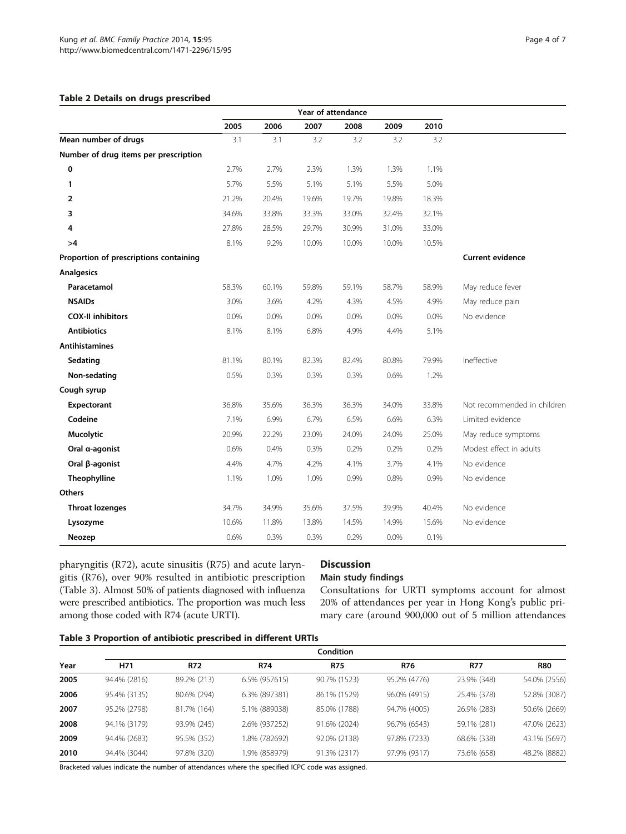## <span id="page-3-0"></span>Table 2 Details on drugs prescribed

|                                        | Year of attendance |       |       |       |       |       |                             |  |
|----------------------------------------|--------------------|-------|-------|-------|-------|-------|-----------------------------|--|
|                                        | 2005               | 2006  | 2007  | 2008  | 2009  | 2010  |                             |  |
| Mean number of drugs                   | 3.1                | 3.1   | 3.2   | 3.2   | 3.2   | 3.2   |                             |  |
| Number of drug items per prescription  |                    |       |       |       |       |       |                             |  |
| 0                                      | 2.7%               | 2.7%  | 2.3%  | 1.3%  | 1.3%  | 1.1%  |                             |  |
| $\mathbf{1}$                           | 5.7%               | 5.5%  | 5.1%  | 5.1%  | 5.5%  | 5.0%  |                             |  |
| $\overline{2}$                         | 21.2%              | 20.4% | 19.6% | 19.7% | 19.8% | 18.3% |                             |  |
| 3                                      | 34.6%              | 33.8% | 33.3% | 33.0% | 32.4% | 32.1% |                             |  |
| 4                                      | 27.8%              | 28.5% | 29.7% | 30.9% | 31.0% | 33.0% |                             |  |
| >4                                     | 8.1%               | 9.2%  | 10.0% | 10.0% | 10.0% | 10.5% |                             |  |
| Proportion of prescriptions containing |                    |       |       |       |       |       | <b>Current evidence</b>     |  |
| <b>Analgesics</b>                      |                    |       |       |       |       |       |                             |  |
| Paracetamol                            | 58.3%              | 60.1% | 59.8% | 59.1% | 58.7% | 58.9% | May reduce fever            |  |
| <b>NSAIDs</b>                          | 3.0%               | 3.6%  | 4.2%  | 4.3%  | 4.5%  | 4.9%  | May reduce pain             |  |
| <b>COX-II inhibitors</b>               | 0.0%               | 0.0%  | 0.0%  | 0.0%  | 0.0%  | 0.0%  | No evidence                 |  |
| <b>Antibiotics</b>                     | 8.1%               | 8.1%  | 6.8%  | 4.9%  | 4.4%  | 5.1%  |                             |  |
| <b>Antihistamines</b>                  |                    |       |       |       |       |       |                             |  |
| Sedating                               | 81.1%              | 80.1% | 82.3% | 82.4% | 80.8% | 79.9% | Ineffective                 |  |
| Non-sedating                           | 0.5%               | 0.3%  | 0.3%  | 0.3%  | 0.6%  | 1.2%  |                             |  |
| Cough syrup                            |                    |       |       |       |       |       |                             |  |
| Expectorant                            | 36.8%              | 35.6% | 36.3% | 36.3% | 34.0% | 33.8% | Not recommended in children |  |
| Codeine                                | 7.1%               | 6.9%  | 6.7%  | 6.5%  | 6.6%  | 6.3%  | Limited evidence            |  |
| Mucolytic                              | 20.9%              | 22.2% | 23.0% | 24.0% | 24.0% | 25.0% | May reduce symptoms         |  |
| Oral a-agonist                         | 0.6%               | 0.4%  | 0.3%  | 0.2%  | 0.2%  | 0.2%  | Modest effect in adults     |  |
| Oral β-agonist                         | 4.4%               | 4.7%  | 4.2%  | 4.1%  | 3.7%  | 4.1%  | No evidence                 |  |
| Theophylline                           | 1.1%               | 1.0%  | 1.0%  | 0.9%  | 0.8%  | 0.9%  | No evidence                 |  |
| <b>Others</b>                          |                    |       |       |       |       |       |                             |  |
| <b>Throat lozenges</b>                 | 34.7%              | 34.9% | 35.6% | 37.5% | 39.9% | 40.4% | No evidence                 |  |
| Lysozyme                               | 10.6%              | 11.8% | 13.8% | 14.5% | 14.9% | 15.6% | No evidence                 |  |
| Neozep                                 | 0.6%               | 0.3%  | 0.3%  | 0.2%  | 0.0%  | 0.1%  |                             |  |

pharyngitis (R72), acute sinusitis (R75) and acute laryngitis (R76), over 90% resulted in antibiotic prescription (Table 3). Almost 50% of patients diagnosed with influenza were prescribed antibiotics. The proportion was much less among those coded with R74 (acute URTI).

# **Discussion**

# Main study findings

Consultations for URTI symptoms account for almost 20% of attendances per year in Hong Kong's public primary care (around 900,000 out of 5 million attendances

|  |  | Table 3 Proportion of antibiotic prescribed in different URTIs |
|--|--|----------------------------------------------------------------|
|  |  |                                                                |

|      | <b>Condition</b> |             |               |              |              |             |              |  |
|------|------------------|-------------|---------------|--------------|--------------|-------------|--------------|--|
| Year | H71              | <b>R72</b>  | <b>R74</b>    | <b>R75</b>   | R76          | <b>R77</b>  | <b>R80</b>   |  |
| 2005 | 94.4% (2816)     | 89.2% (213) | 6.5% (957615) | 90.7% (1523) | 95.2% (4776) | 23.9% (348) | 54.0% (2556) |  |
| 2006 | 95.4% (3135)     | 80.6% (294) | 6.3% (897381) | 86.1% (1529) | 96.0% (4915) | 25.4% (378) | 52.8% (3087) |  |
| 2007 | 95.2% (2798)     | 81.7% (164) | 5.1% (889038) | 85.0% (1788) | 94.7% (4005) | 26.9% (283) | 50.6% (2669) |  |
| 2008 | 94.1% (3179)     | 93.9% (245) | 2.6% (937252) | 91.6% (2024) | 96.7% (6543) | 59.1% (281) | 47.0% (2623) |  |
| 2009 | 94.4% (2683)     | 95.5% (352) | .8% (782692)  | 92.0% (2138) | 97.8% (7233) | 68.6% (338) | 43.1% (5697) |  |
| 2010 | 94.4% (3044)     | 97.8% (320) | .9% (858979)  | 91.3% (2317) | 97.9% (9317) | 73.6% (658) | 48.2% (8882) |  |

Bracketed values indicate the number of attendances where the specified ICPC code was assigned.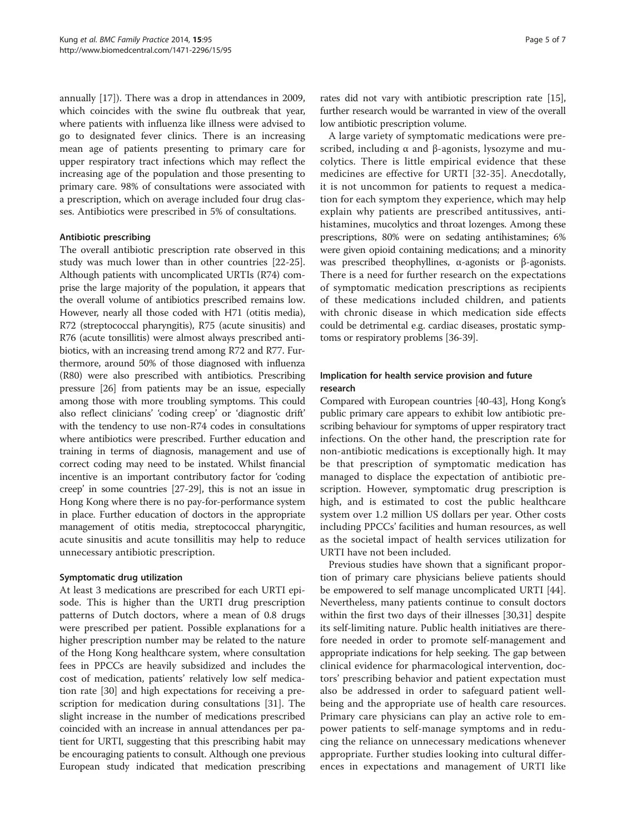annually [[17](#page-6-0)]). There was a drop in attendances in 2009, which coincides with the swine flu outbreak that year, where patients with influenza like illness were advised to go to designated fever clinics. There is an increasing mean age of patients presenting to primary care for upper respiratory tract infections which may reflect the increasing age of the population and those presenting to primary care. 98% of consultations were associated with a prescription, which on average included four drug classes. Antibiotics were prescribed in 5% of consultations.

## Antibiotic prescribing

The overall antibiotic prescription rate observed in this study was much lower than in other countries [\[22-25](#page-6-0)]. Although patients with uncomplicated URTIs (R74) comprise the large majority of the population, it appears that the overall volume of antibiotics prescribed remains low. However, nearly all those coded with H71 (otitis media), R72 (streptococcal pharyngitis), R75 (acute sinusitis) and R76 (acute tonsillitis) were almost always prescribed antibiotics, with an increasing trend among R72 and R77. Furthermore, around 50% of those diagnosed with influenza (R80) were also prescribed with antibiotics. Prescribing pressure [\[26\]](#page-6-0) from patients may be an issue, especially among those with more troubling symptoms. This could also reflect clinicians' 'coding creep' or 'diagnostic drift' with the tendency to use non-R74 codes in consultations where antibiotics were prescribed. Further education and training in terms of diagnosis, management and use of correct coding may need to be instated. Whilst financial incentive is an important contributory factor for 'coding creep' in some countries [\[27-29\]](#page-6-0), this is not an issue in Hong Kong where there is no pay-for-performance system in place. Further education of doctors in the appropriate management of otitis media, streptococcal pharyngitic, acute sinusitis and acute tonsillitis may help to reduce unnecessary antibiotic prescription.

#### Symptomatic drug utilization

At least 3 medications are prescribed for each URTI episode. This is higher than the URTI drug prescription patterns of Dutch doctors, where a mean of 0.8 drugs were prescribed per patient. Possible explanations for a higher prescription number may be related to the nature of the Hong Kong healthcare system, where consultation fees in PPCCs are heavily subsidized and includes the cost of medication, patients' relatively low self medication rate [[30\]](#page-6-0) and high expectations for receiving a prescription for medication during consultations [[31\]](#page-6-0). The slight increase in the number of medications prescribed coincided with an increase in annual attendances per patient for URTI, suggesting that this prescribing habit may be encouraging patients to consult. Although one previous European study indicated that medication prescribing

rates did not vary with antibiotic prescription rate [[15](#page-5-0)], further research would be warranted in view of the overall low antibiotic prescription volume.

A large variety of symptomatic medications were prescribed, including α and β-agonists, lysozyme and mucolytics. There is little empirical evidence that these medicines are effective for URTI [[32-35\]](#page-6-0). Anecdotally, it is not uncommon for patients to request a medication for each symptom they experience, which may help explain why patients are prescribed antitussives, antihistamines, mucolytics and throat lozenges. Among these prescriptions, 80% were on sedating antihistamines; 6% were given opioid containing medications; and a minority was prescribed theophyllines, α-agonists or β-agonists. There is a need for further research on the expectations of symptomatic medication prescriptions as recipients of these medications included children, and patients with chronic disease in which medication side effects could be detrimental e.g. cardiac diseases, prostatic symptoms or respiratory problems [\[36-39\]](#page-6-0).

# Implication for health service provision and future research

Compared with European countries [\[40-43](#page-6-0)], Hong Kong's public primary care appears to exhibit low antibiotic prescribing behaviour for symptoms of upper respiratory tract infections. On the other hand, the prescription rate for non-antibiotic medications is exceptionally high. It may be that prescription of symptomatic medication has managed to displace the expectation of antibiotic prescription. However, symptomatic drug prescription is high, and is estimated to cost the public healthcare system over 1.2 million US dollars per year. Other costs including PPCCs' facilities and human resources, as well as the societal impact of health services utilization for URTI have not been included.

Previous studies have shown that a significant proportion of primary care physicians believe patients should be empowered to self manage uncomplicated URTI [\[44](#page-6-0)]. Nevertheless, many patients continue to consult doctors within the first two days of their illnesses [[30](#page-6-0),[31](#page-6-0)] despite its self-limiting nature. Public health initiatives are therefore needed in order to promote self-management and appropriate indications for help seeking. The gap between clinical evidence for pharmacological intervention, doctors' prescribing behavior and patient expectation must also be addressed in order to safeguard patient wellbeing and the appropriate use of health care resources. Primary care physicians can play an active role to empower patients to self-manage symptoms and in reducing the reliance on unnecessary medications whenever appropriate. Further studies looking into cultural differences in expectations and management of URTI like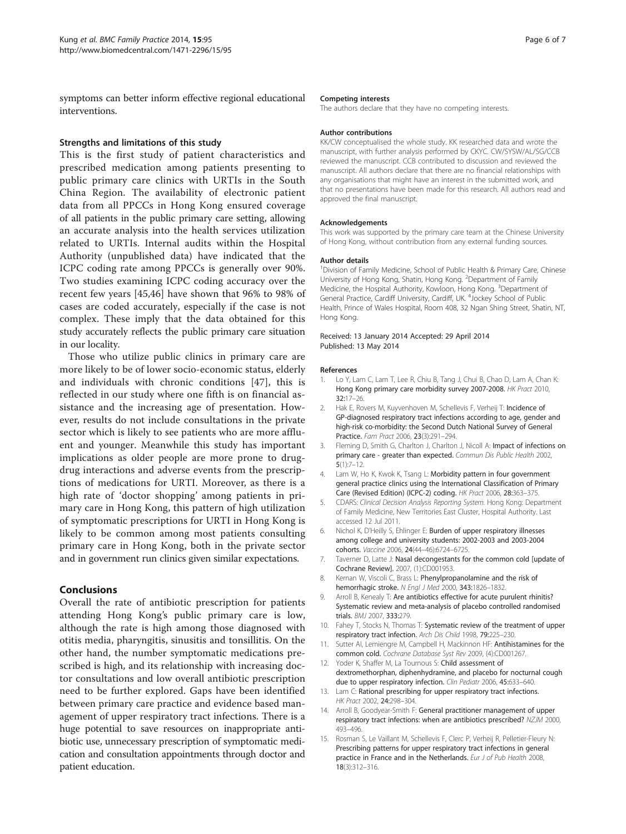<span id="page-5-0"></span>symptoms can better inform effective regional educational interventions.

## Strengths and limitations of this study

This is the first study of patient characteristics and prescribed medication among patients presenting to public primary care clinics with URTIs in the South China Region. The availability of electronic patient data from all PPCCs in Hong Kong ensured coverage of all patients in the public primary care setting, allowing an accurate analysis into the health services utilization related to URTIs. Internal audits within the Hospital Authority (unpublished data) have indicated that the ICPC coding rate among PPCCs is generally over 90%. Two studies examining ICPC coding accuracy over the recent few years [[45,46](#page-6-0)] have shown that 96% to 98% of cases are coded accurately, especially if the case is not complex. These imply that the data obtained for this study accurately reflects the public primary care situation in our locality.

Those who utilize public clinics in primary care are more likely to be of lower socio-economic status, elderly and individuals with chronic conditions [[47](#page-6-0)], this is reflected in our study where one fifth is on financial assistance and the increasing age of presentation. However, results do not include consultations in the private sector which is likely to see patients who are more affluent and younger. Meanwhile this study has important implications as older people are more prone to drugdrug interactions and adverse events from the prescriptions of medications for URTI. Moreover, as there is a high rate of 'doctor shopping' among patients in primary care in Hong Kong, this pattern of high utilization of symptomatic prescriptions for URTI in Hong Kong is likely to be common among most patients consulting primary care in Hong Kong, both in the private sector and in government run clinics given similar expectations.

# Conclusions

Overall the rate of antibiotic prescription for patients attending Hong Kong's public primary care is low, although the rate is high among those diagnosed with otitis media, pharyngitis, sinusitis and tonsillitis. On the other hand, the number symptomatic medications prescribed is high, and its relationship with increasing doctor consultations and low overall antibiotic prescription need to be further explored. Gaps have been identified between primary care practice and evidence based management of upper respiratory tract infections. There is a huge potential to save resources on inappropriate antibiotic use, unnecessary prescription of symptomatic medication and consultation appointments through doctor and patient education.

#### Competing interests

The authors declare that they have no competing interests.

#### Author contributions

KK/CW conceptualised the whole study. KK researched data and wrote the manuscript, with further analysis performed by CKYC. CW/SYSW/AL/SG/CCB reviewed the manuscript. CCB contributed to discussion and reviewed the manuscript. All authors declare that there are no financial relationships with any organisations that might have an interest in the submitted work, and that no presentations have been made for this research. All authors read and approved the final manuscript.

#### Acknowledgements

This work was supported by the primary care team at the Chinese University of Hong Kong, without contribution from any external funding sources.

#### Author details

<sup>1</sup> Division of Family Medicine, School of Public Health & Primary Care, Chinese University of Hong Kong, Shatin, Hong Kong. <sup>2</sup>Department of Family Medicine, the Hospital Authority, Kowloon, Hong Kong. <sup>3</sup> Department of General Practice, Cardiff University, Cardiff, UK. <sup>4</sup>Jockey School of Public Health, Prince of Wales Hospital, Room 408, 32 Ngan Shing Street, Shatin, NT, Hong Kong.

#### Received: 13 January 2014 Accepted: 29 April 2014 Published: 13 May 2014

#### References

- 1. Lo Y, Lam C, Lam T, Lee R, Chiu B, Tang J, Chui B, Chao D, Lam A, Chan K: Hong Kong primary care morbidity survey 2007-2008. HK Pract 2010, 32:17–26.
- 2. Hak E, Rovers M, Kuyvenhoven M, Schellevis F, Verheij T: Incidence of GP-diagnosed respiratory tract infections according to age, gender and high-risk co-morbidity: the Second Dutch National Survey of General Practice. Fam Pract 2006, 23(3):291–294.
- 3. Fleming D, Smith G, Charlton J, Charlton J, Nicoll A: Impact of infections on primary care - greater than expected. Commun Dis Public Health 2002, 5(1):7–12.
- 4. Lam W, Ho K, Kwok K, Tsang L: Morbidity pattern in four government general practice clinics using the International Classification of Primary Care (Revised Edition) (ICPC-2) coding. HK Pract 2006, 28:363–375.
- 5. CDARS: Clinical Decision Analysis Reporting System. Hong Kong: Department of Family Medicine, New Territories East Cluster, Hospital Authority. Last accessed 12 Jul 2011.
- 6. Nichol K, D'Heilly S, Ehlinger E: Burden of upper respiratory illnesses among college and university students: 2002-2003 and 2003-2004 cohorts. Vaccine 2006, 24(44–46):6724–6725.
- 7. Taverner D, Latte J: Nasal decongestants for the common cold [update of Cochrane Review]. 2007, (1):CD001953.
- 8. Kernan W, Viscoli C, Brass L: Phenylpropanolamine and the risk of hemorrhagic stroke. N Engl J Med 2000, 343:1826–1832.
- 9. Arroll B, Kenealy T: Are antibiotics effective for acute purulent rhinitis? Systematic review and meta-analysis of placebo controlled randomised trials. BMJ 2007, 333:279.
- 10. Fahey T, Stocks N, Thomas T: Systematic review of the treatment of upper respiratory tract infection. Arch Dis Child 1998, 79:225–230.
- 11. Sutter AI, Lemiengre M, Campbell H, Mackinnon HF: Antihistamines for the common cold. Cochrane Database Syst Rev 2009, (4):CD001267.
- 12. Yoder K, Shaffer M, La Tournous S: Child assessment of dextromethorphan, diphenhydramine, and placebo for nocturnal cough due to upper respiratory infection. Clin Pediatr 2006, 45:633–640.
- 13. Lam C: Rational prescribing for upper respiratory tract infections. HK Pract 2002, 24:298–304.
- 14. Arroll B, Goodyear-Smith F: General practitioner management of upper respiratory tract infections: when are antibiotics prescribed? NZJM 2000, 493–496.
- 15. Rosman S, Le Vaillant M, Schellevis F, Clerc P, Verheij R, Pelletier-Fleury N: Prescribing patterns for upper respiratory tract infections in general practice in France and in the Netherlands. Eur J of Pub Health 2008, 18(3):312–316.